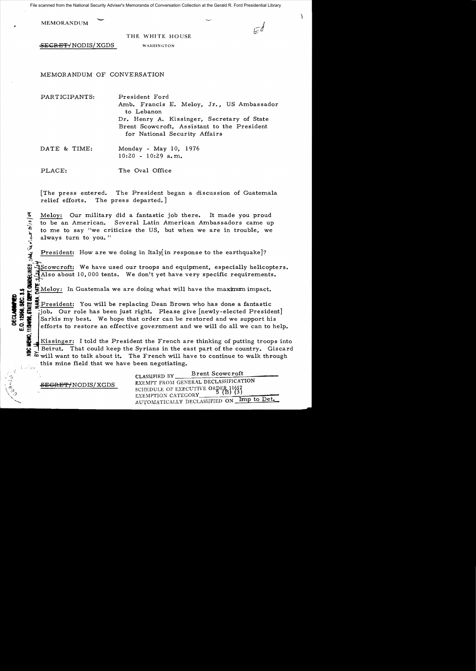File scanned from the National Security Adviser's Memoranda of Conversation Collection at the Gerald R. Ford Presidential Library

| <b>MEMORANDUM</b> |                 | ∽ |   |
|-------------------|-----------------|---|---|
|                   | THE WHITE HOUSE |   | и |

,

**~SECRET/NODIS/XGDS** WASHINGTON

MEMORANDUM OF CONVERSATION

PARTICIPANTS: President Ford Amb. Francis E. Meloy, Jr., US Ambassador to Lebanon Dr. Henry A. Kissinger, Secretary of State Brent Scowcroft, Assistant to the President for National Security Affairs

DATE & TIME: Monday - May 10, 1976  $10:20 - 10:29$  a.m.

PLACE: The Oval Office

[The press entered. The President began a discussion of Guatemala relief efforts. The press departed.]

Meloy: Our military did a fantastic job there. It made you proud to be an American. Several Latin American Ambassadors came up to me to say "we criticize the US, but when we are in trouble, we always turn to you. "

President: How are we doing in Italy in response to the earthquake]?

Scowcroft: We have used our troops and equipment, especially helicopters.<br>Halso about 10,000 tents. We don't yet have very specific requirements. Scowcroft: We have used our troops and equipment, especially helicopt<br>
IMAlso about 10,000 tents. We don't yet have very specific requirements.<br>
In Guatemala we are doing what will have the maximum impact.

President: You will be replacing Dean Brown who has done a fantastic Job. Our role has been just right. Please give [newly-elected President]<br>Sarkis my best. We hope that order can be restored and we support his<br>efforts to restore an effective government and we will do all we can to help Sarkis my best. We hope that order can be restored and we support his efforts to restore an effective government and we will do all we can to help.

Kissinger: I told the President the French are thinking of putting troops into Beirut. That could keep the Syrians in the east part of the country. Giscard will want to talk about it. The French will have to continue to walk through this mine field that we have been negotiating. <sup>~</sup>,-- ~; l

'~

J)~':t

DECLASSIFIED<br>E.O. 12959, SEC. 3.5

CLASSIFIED BY Brent Scowcroft EXEMPT FROM GENERAL DECLASSIFICATION SCHEDULE OF EXECUTIVE ORRE&P~~1 EXEMPTION CATEGORY\_\_-=-~~:..,;.\_~""'-;~~ AUTOMATICALLY DECLASSIFIED ON Imp to Det.